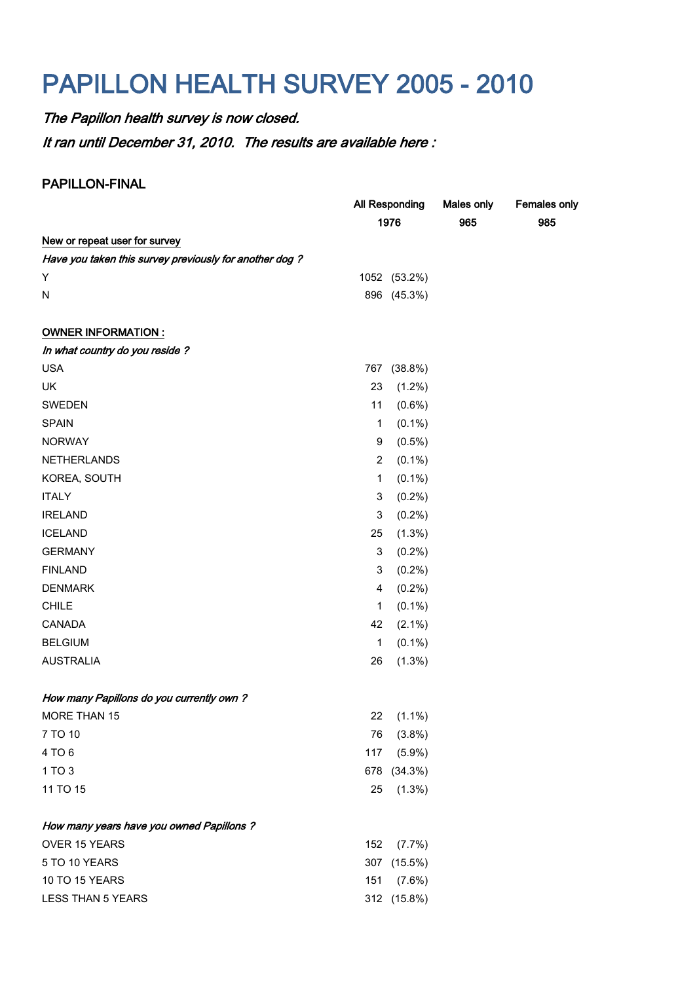# PAPILLON HEALTH SURVEY 2005 - 2010

## The Papillon health survey is now closed.

It ran until December 31, 2010. The results are available here :

#### PAPILLON-FINAL

|                                                         | <b>All Responding</b> |              | <b>Males only</b> | Females only |
|---------------------------------------------------------|-----------------------|--------------|-------------------|--------------|
|                                                         |                       | 1976         | 965               | 985          |
| New or repeat user for survey                           |                       |              |                   |              |
| Have you taken this survey previously for another dog ? |                       |              |                   |              |
| Υ                                                       |                       | 1052 (53.2%) |                   |              |
| N                                                       |                       | 896 (45.3%)  |                   |              |
| <b>OWNER INFORMATION:</b>                               |                       |              |                   |              |
| In what country do you reside ?                         |                       |              |                   |              |
| <b>USA</b>                                              | 767                   | $(38.8\%)$   |                   |              |
| UK                                                      | 23                    | $(1.2\%)$    |                   |              |
| SWEDEN                                                  | 11                    | $(0.6\%)$    |                   |              |
| <b>SPAIN</b>                                            | 1                     | $(0.1\%)$    |                   |              |
| <b>NORWAY</b>                                           | 9                     | $(0.5\%)$    |                   |              |
| <b>NETHERLANDS</b>                                      | $\overline{c}$        | $(0.1\%)$    |                   |              |
| KOREA, SOUTH                                            | $\mathbf 1$           | $(0.1\%)$    |                   |              |
| <b>ITALY</b>                                            | 3                     | $(0.2\%)$    |                   |              |
| <b>IRELAND</b>                                          | 3                     | $(0.2\%)$    |                   |              |
| <b>ICELAND</b>                                          | 25                    | (1.3%)       |                   |              |
| <b>GERMANY</b>                                          | 3                     | $(0.2\%)$    |                   |              |
| <b>FINLAND</b>                                          | 3                     | $(0.2\%)$    |                   |              |
| <b>DENMARK</b>                                          | 4                     | $(0.2\%)$    |                   |              |
| <b>CHILE</b>                                            | 1                     | $(0.1\%)$    |                   |              |
| CANADA                                                  | 42                    | $(2.1\%)$    |                   |              |
| <b>BELGIUM</b>                                          | 1                     | $(0.1\%)$    |                   |              |
| <b>AUSTRALIA</b>                                        | 26                    | $(1.3\%)$    |                   |              |
| How many Papillons do you currently own?                |                       |              |                   |              |
| MORE THAN 15                                            | 22                    | $(1.1\%)$    |                   |              |
| 7 TO 10                                                 | 76                    | (3.8%)       |                   |              |
| 4 TO 6                                                  | 117                   | $(5.9\%)$    |                   |              |
| 1 TO 3                                                  | 678                   | (34.3%)      |                   |              |
| 11 TO 15                                                | 25                    | $(1.3\%)$    |                   |              |
| How many years have you owned Papillons ?               |                       |              |                   |              |
| OVER 15 YEARS                                           | 152                   | (7.7%)       |                   |              |
| 5 TO 10 YEARS                                           |                       | 307 (15.5%)  |                   |              |
| 10 TO 15 YEARS                                          | 151                   | (7.6%)       |                   |              |
| <b>LESS THAN 5 YEARS</b>                                |                       | 312 (15.8%)  |                   |              |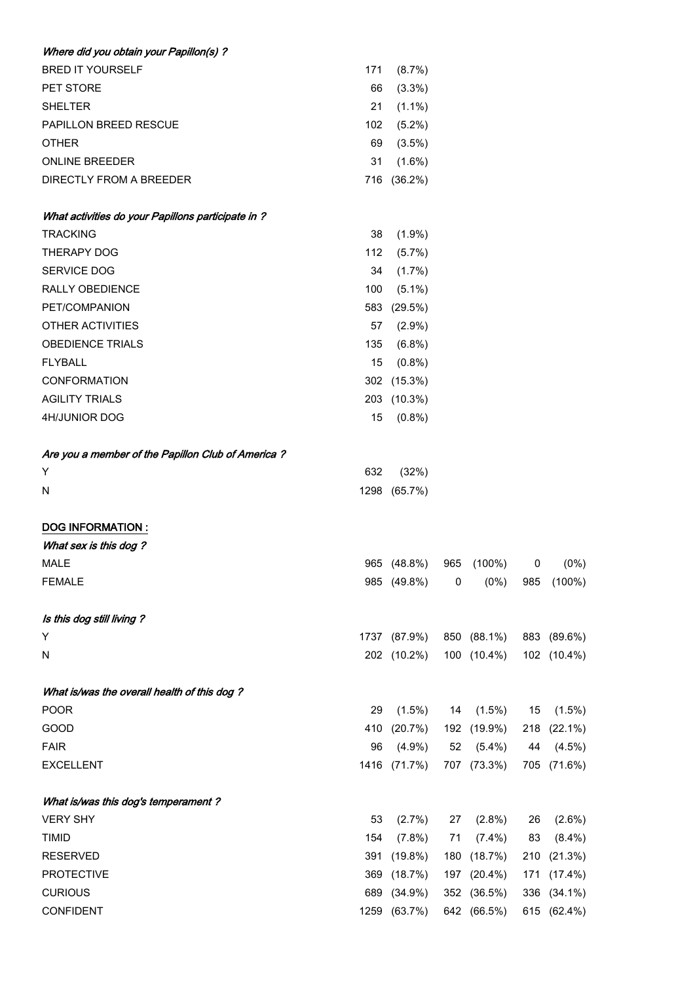| Where did you obtain your Papillon(s) ?            |      |              |     |             |     |             |
|----------------------------------------------------|------|--------------|-----|-------------|-----|-------------|
| <b>BRED IT YOURSELF</b>                            | 171  | (8.7%)       |     |             |     |             |
| PET STORE                                          | 66   | $(3.3\%)$    |     |             |     |             |
| SHELTER                                            | 21   | $(1.1\%)$    |     |             |     |             |
| PAPILLON BREED RESCUE                              | 102  | $(5.2\%)$    |     |             |     |             |
| OTHER                                              | 69   | $(3.5\%)$    |     |             |     |             |
| <b>ONLINE BREEDER</b>                              | 31   | $(1.6\%)$    |     |             |     |             |
| DIRECTLY FROM A BREEDER                            |      | 716 (36.2%)  |     |             |     |             |
| What activities do your Papillons participate in ? |      |              |     |             |     |             |
| <b>TRACKING</b>                                    | 38   | $(1.9\%)$    |     |             |     |             |
| THERAPY DOG                                        | 112  | $(5.7\%)$    |     |             |     |             |
| SERVICE DOG                                        | 34   | (1.7%)       |     |             |     |             |
| RALLY OBEDIENCE                                    | 100  | $(5.1\%)$    |     |             |     |             |
| PET/COMPANION                                      | 583  | (29.5%)      |     |             |     |             |
| OTHER ACTIVITIES                                   | 57   | $(2.9\%)$    |     |             |     |             |
| <b>OBEDIENCE TRIALS</b>                            | 135  | (6.8%)       |     |             |     |             |
| FLYBALL                                            | 15   | (0.8%        |     |             |     |             |
| CONFORMATION                                       |      | 302 (15.3%)  |     |             |     |             |
| <b>AGILITY TRIALS</b>                              | 203  | $(10.3\%)$   |     |             |     |             |
| 4H/JUNIOR DOG                                      | 15   | $(0.8\%)$    |     |             |     |             |
| Are you a member of the Papillon Club of America ? |      |              |     |             |     |             |
| Υ                                                  | 632  | (32%)        |     |             |     |             |
| Ν                                                  | 1298 | (65.7%)      |     |             |     |             |
| <b>DOG INFORMATION:</b>                            |      |              |     |             |     |             |
| What sex is this dog ?                             |      |              |     |             |     |             |
| MALE                                               |      | 965 (48.8%)  | 965 | $(100\%)$   | 0   | (0%)        |
| <b>FEMALE</b>                                      |      | 985 (49.8%)  | 0   | (0%)        | 985 | $(100\%)$   |
| Is this dog still living ?                         |      |              |     |             |     |             |
| Y                                                  |      | 1737 (87.9%) |     | 850 (88.1%) |     | 883 (89.6%) |
| Ν                                                  |      | 202 (10.2%)  |     | 100 (10.4%) |     | 102 (10.4%) |
| What is/was the overall health of this dog ?       |      |              |     |             |     |             |
| <b>POOR</b>                                        | 29   | $(1.5\%)$    | 14  | $(1.5\%)$   | 15  | $(1.5\%)$   |
| GOOD                                               | 410  | (20.7%)      |     | 192 (19.9%) |     | 218 (22.1%) |
| <b>FAIR</b>                                        | 96   | $(4.9\%)$    | 52  | $(5.4\%)$   | 44  | $(4.5\%)$   |
| <b>EXCELLENT</b>                                   |      | 1416 (71.7%) |     | 707 (73.3%) |     | 705 (71.6%) |
| What is/was this dog's temperament?                |      |              |     |             |     |             |
| <b>VERY SHY</b>                                    | 53   | (2.7%)       | 27  | $(2.8\%)$   | 26  | $(2.6\%)$   |
| <b>TIMID</b>                                       | 154  | $(7.8\%)$    | 71  | $(7.4\%)$   | 83  | $(8.4\%)$   |
| <b>RESERVED</b>                                    | 391  | (19.8%)      |     | 180 (18.7%) |     | 210 (21.3%) |
| <b>PROTECTIVE</b>                                  | 369  | (18.7%)      |     | 197 (20.4%) |     | 171 (17.4%) |
| <b>CURIOUS</b>                                     |      | 689 (34.9%)  |     | 352 (36.5%) |     | 336 (34.1%) |
| <b>CONFIDENT</b>                                   | 1259 | (63.7%)      |     | 642 (66.5%) |     | 615 (62.4%) |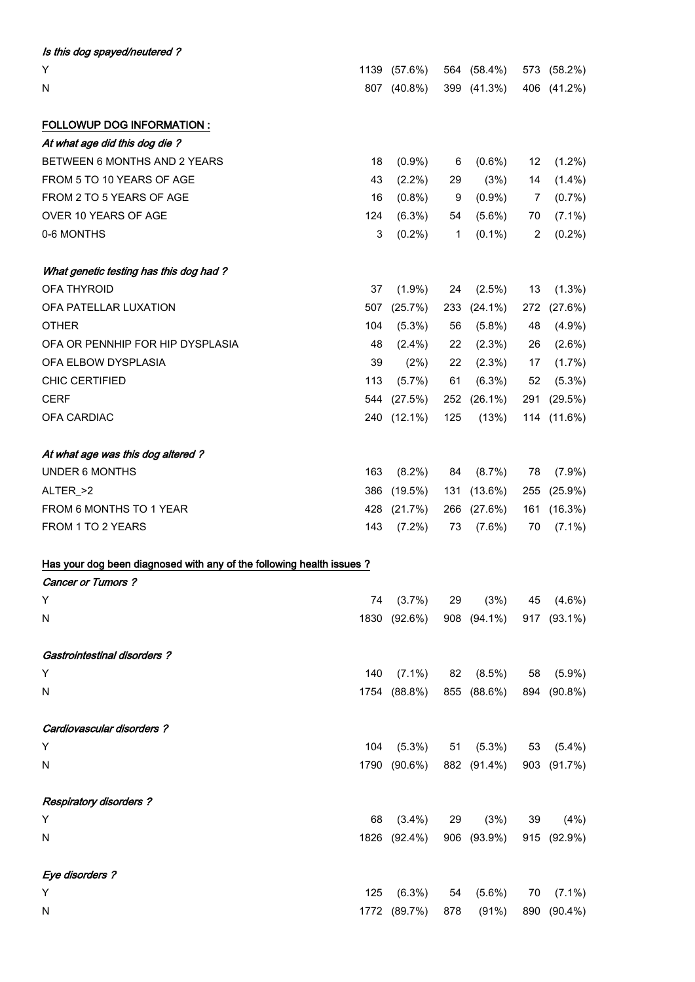| Is this dog spayed/neutered ?                                         |     |              |     |             |     |             |
|-----------------------------------------------------------------------|-----|--------------|-----|-------------|-----|-------------|
| Υ                                                                     |     | 1139 (57.6%) |     | 564 (58.4%) |     | 573 (58.2%) |
| Ν                                                                     |     | 807 (40.8%)  |     | 399 (41.3%) |     | 406 (41.2%) |
| <b>FOLLOWUP DOG INFORMATION:</b>                                      |     |              |     |             |     |             |
| At what age did this dog die ?                                        |     |              |     |             |     |             |
| BETWEEN 6 MONTHS AND 2 YEARS                                          | 18  | $(0.9\%)$    | 6   | $(0.6\%)$   | 12  | $(1.2\%)$   |
| FROM 5 TO 10 YEARS OF AGE                                             | 43  | $(2.2\%)$    | 29  | (3%)        | 14  | $(1.4\%)$   |
| FROM 2 TO 5 YEARS OF AGE                                              | 16  | $(0.8\%)$    | 9   | $(0.9\%)$   | 7   | (0.7%)      |
| OVER 10 YEARS OF AGE                                                  | 124 | $(6.3\%)$    | 54  | $(5.6\%)$   | 70  | $(7.1\%)$   |
| 0-6 MONTHS                                                            | 3   | $(0.2\%)$    | 1   | $(0.1\%)$   | 2   | $(0.2\%)$   |
| What genetic testing has this dog had ?                               |     |              |     |             |     |             |
| <b>OFA THYROID</b>                                                    | 37  | $(1.9\%)$    | 24  | $(2.5\%)$   | 13  | $(1.3\%)$   |
| OFA PATELLAR LUXATION                                                 | 507 | (25.7%)      | 233 | $(24.1\%)$  | 272 | (27.6%)     |
| <b>OTHER</b>                                                          | 104 | $(5.3\%)$    | 56  | $(5.8\%)$   | 48  | $(4.9\%)$   |
| OFA OR PENNHIP FOR HIP DYSPLASIA                                      | 48  | $(2.4\%)$    | 22  | $(2.3\%)$   | 26  | $(2.6\%)$   |
| OFA ELBOW DYSPLASIA                                                   | 39  | (2%)         | 22  | $(2.3\%)$   | 17  | $(1.7\%)$   |
| CHIC CERTIFIED                                                        | 113 | $(5.7\%)$    | 61  | (6.3%)      | 52  | $(5.3\%)$   |
| <b>CERF</b>                                                           | 544 | (27.5%)      | 252 | $(26.1\%)$  | 291 | (29.5%)     |
| OFA CARDIAC                                                           |     | 240 (12.1%)  | 125 | (13%)       |     | 114 (11.6%) |
| At what age was this dog altered?                                     |     |              |     |             |     |             |
| <b>UNDER 6 MONTHS</b>                                                 | 163 | $(8.2\%)$    | 84  | (8.7%)      | 78  | $(7.9\%)$   |
| ALTER_>2                                                              | 386 | (19.5%)      | 131 | (13.6%)     | 255 | $(25.9\%)$  |
| FROM 6 MONTHS TO 1 YEAR                                               | 428 | (21.7%)      | 266 | (27.6%)     | 161 | $(16.3\%)$  |
| FROM 1 TO 2 YEARS                                                     | 143 | $(7.2\%)$    | 73  | $(7.6\%)$   | 70  | $(7.1\%)$   |
| Has your dog been diagnosed with any of the following health issues ? |     |              |     |             |     |             |
| <b>Cancer or Tumors?</b>                                              |     |              |     |             |     |             |
| Υ                                                                     | 74  | (3.7%)       | 29  | (3%)        | 45  | $(4.6\%)$   |
| N                                                                     |     | 1830 (92.6%) |     | 908 (94.1%) |     | 917 (93.1%) |
| <b>Gastrointestinal disorders ?</b>                                   |     |              |     |             |     |             |
| Υ                                                                     | 140 | $(7.1\%)$    | 82  | $(8.5\%)$   | 58  | $(5.9\%)$   |
| Ν                                                                     |     | 1754 (88.8%) |     | 855 (88.6%) |     | 894 (90.8%) |
| Cardiovascular disorders ?                                            |     |              |     |             |     |             |
| Υ                                                                     | 104 | $(5.3\%)$    | 51  | $(5.3\%)$   | 53  | $(5.4\%)$   |
| N                                                                     |     | 1790 (90.6%) |     | 882 (91.4%) |     | 903 (91.7%) |
| <b>Respiratory disorders ?</b>                                        |     |              |     |             |     |             |
| Υ                                                                     | 68  | $(3.4\%)$    | 29  | (3%)        | 39  | (4%)        |
| Ν                                                                     |     | 1826 (92.4%) |     | 906 (93.9%) |     | 915 (92.9%) |
| Eye disorders ?                                                       |     |              |     |             |     |             |
| Υ                                                                     | 125 | (6.3%)       | 54  | $(5.6\%)$   | 70  | $(7.1\%)$   |
| N                                                                     |     | 1772 (89.7%) | 878 | (91%)       | 890 | $(90.4\%)$  |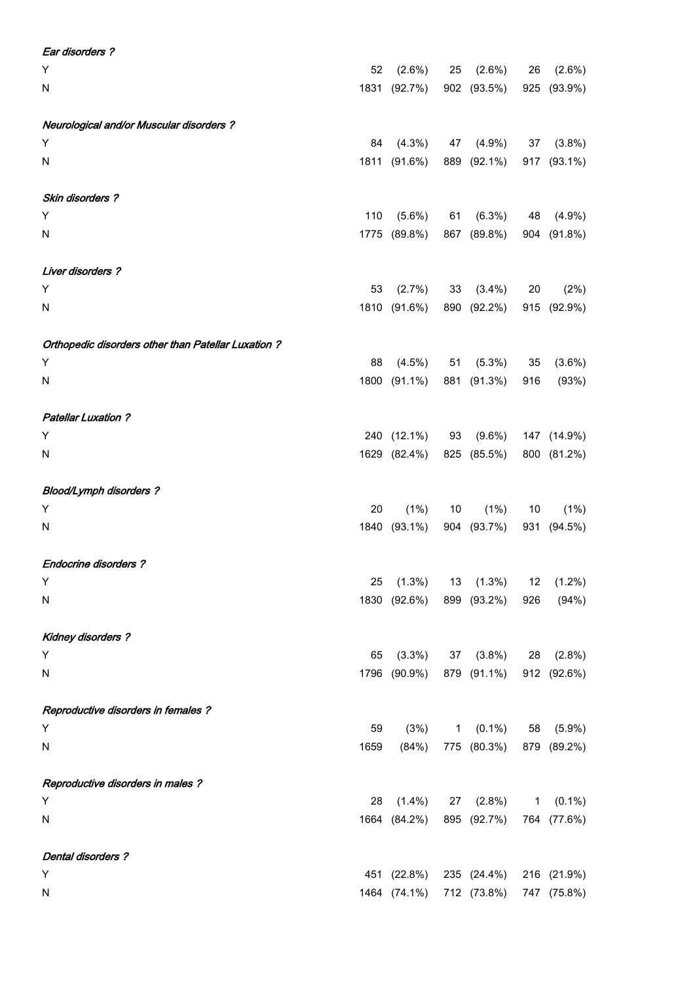| Ear disorders ?                                     |      |                          |           |             |              |             |
|-----------------------------------------------------|------|--------------------------|-----------|-------------|--------------|-------------|
| Y                                                   | 52   | $(2.6\%)$                | 25        | $(2.6\%)$   | 26           | $(2.6\%)$   |
| Ν                                                   |      | 1831 (92.7%)             |           | 902 (93.5%) |              | 925 (93.9%) |
| Neurological and/or Muscular disorders ?            |      |                          |           |             |              |             |
| Υ                                                   | 84   | $(4.3\%)$                | 47        | $(4.9\%)$   | 37           | (3.8%)      |
| Ν                                                   |      | 1811 (91.6%)             |           | 889 (92.1%) |              | 917 (93.1%) |
| Skin disorders ?                                    |      |                          |           |             |              |             |
| Y                                                   | 110  | $(5.6\%)$                | 61        | $(6.3\%)$   | 48           | $(4.9\%)$   |
| Ν                                                   |      | 1775 (89.8%)             |           | 867 (89.8%) |              | 904 (91.8%) |
| Liver disorders ?                                   |      |                          |           |             |              |             |
| Y                                                   | 53   | (2.7%)                   | 33        | $(3.4\%)$   | 20           | (2%)        |
| Ν                                                   |      | 1810 (91.6%)             |           | 890 (92.2%) |              | 915 (92.9%) |
| Orthopedic disorders other than Patellar Luxation ? |      |                          |           |             |              |             |
| Υ                                                   | 88   | $(4.5\%)$                | 51        | $(5.3\%)$   | 35           | $(3.6\%)$   |
| Ν                                                   |      | 1800 (91.1%)             |           | 881 (91.3%) | 916          | (93%)       |
| <b>Patellar Luxation ?</b>                          |      |                          |           |             |              |             |
| Y                                                   |      | 240 (12.1%)              | 93        | $(9.6\%)$   |              | 147 (14.9%) |
| Ν                                                   |      | 1629 (82.4%)             |           | 825 (85.5%) |              | 800 (81.2%) |
| <b>Blood/Lymph disorders ?</b>                      |      |                          |           |             |              |             |
| Υ                                                   | 20   | (1%)                     | 10        | (1%)        | 10           | (1%)        |
| Ν                                                   |      | 1840 (93.1%)             |           | 904 (93.7%) |              | 931 (94.5%) |
| <b>Endocrine disorders ?</b>                        |      |                          |           |             |              |             |
| Υ                                                   | 25   | $(1.3\%)$                | 13        | $(1.3\%)$   | 12           | $(1.2\%)$   |
| Ν                                                   |      | 1830 (92.6%)             |           | 899 (93.2%) | 926          | (94%)       |
| <b>Kidney disorders ?</b>                           |      |                          |           |             |              |             |
| Υ                                                   | 65   | $(3.3\%)$                | 37        | $(3.8\%)$   | 28           | $(2.8\%)$   |
| Ν                                                   |      | 1796 (90.9%)             |           | 879 (91.1%) |              | 912 (92.6%) |
| Reproductive disorders in females ?                 |      |                          |           |             |              |             |
| Υ                                                   | 59   | (3%)                     | $1 \quad$ | $(0.1\%)$   | 58           | $(5.9\%)$   |
| Ν                                                   | 1659 | (84%)                    |           | 775 (80.3%) |              | 879 (89.2%) |
| Reproductive disorders in males ?                   |      |                          |           |             |              |             |
| Υ                                                   | 28   | $(1.4\%)$                | 27        | $(2.8\%)$   | $\mathbf{1}$ | $(0.1\%)$   |
| Ν                                                   |      | 1664 (84.2%)             |           | 895 (92.7%) |              | 764 (77.6%) |
| Dental disorders?                                   |      |                          |           |             |              |             |
| Υ                                                   |      | 451 (22.8%)              |           | 235 (24.4%) |              | 216 (21.9%) |
| Ν                                                   |      | 1464 (74.1%) 712 (73.8%) |           |             |              | 747 (75.8%) |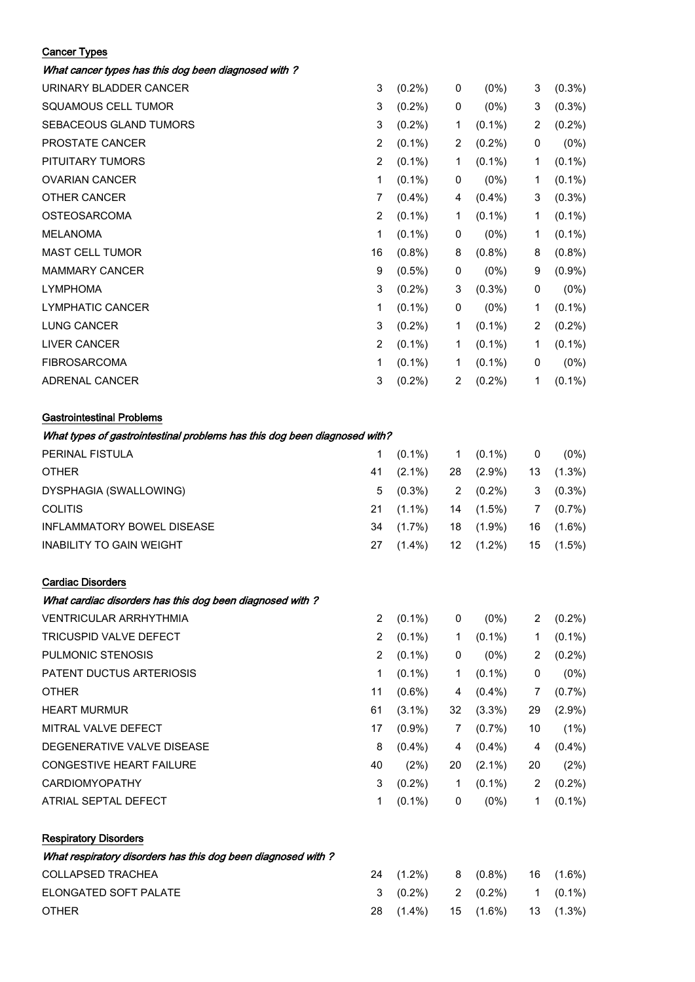### **Cancer Types**

What cancer types has this dog been diagnosed with ?

| URINARY BLADDER CANCER  | 3              | $(0.2\%)$ | 0              | (0%)      | 3              | $(0.3\%)$ |
|-------------------------|----------------|-----------|----------------|-----------|----------------|-----------|
| SQUAMOUS CELL TUMOR     | 3              | $(0.2\%)$ | 0              | (0%)      | 3              | $(0.3\%)$ |
| SEBACEOUS GLAND TUMORS  | 3              | $(0.2\%)$ | 1              | $(0.1\%)$ | $\overline{2}$ | $(0.2\%)$ |
| PROSTATE CANCER         | 2              | $(0.1\%)$ | $\overline{2}$ | $(0.2\%)$ | 0              | (0%)      |
| PITUITARY TUMORS        | $\overline{2}$ | $(0.1\%)$ | 1              | $(0.1\%)$ | 1              | $(0.1\%)$ |
| <b>OVARIAN CANCER</b>   | 1              | $(0.1\%)$ | 0              | (0%)      | 1              | $(0.1\%)$ |
| OTHER CANCER            | 7              | $(0.4\%)$ | 4              | $(0.4\%)$ | 3              | $(0.3\%)$ |
| <b>OSTEOSARCOMA</b>     | $\overline{2}$ | $(0.1\%)$ | 1              | $(0.1\%)$ | 1              | $(0.1\%)$ |
| <b>MELANOMA</b>         | 1              | $(0.1\%)$ | 0              | (0%)      | 1              | $(0.1\%)$ |
| <b>MAST CELL TUMOR</b>  | 16             | $(0.8\%)$ | 8              | $(0.8\%)$ | 8              | $(0.8\%)$ |
| <b>MAMMARY CANCER</b>   | 9              | $(0.5\%)$ | 0              | (0%)      | 9              | $(0.9\%)$ |
| <b>LYMPHOMA</b>         | 3              | $(0.2\%)$ | 3              | $(0.3\%)$ | 0              | (0%)      |
| <b>LYMPHATIC CANCER</b> | 1              | $(0.1\%)$ | 0              | (0%)      | 1              | $(0.1\%)$ |
| <b>LUNG CANCER</b>      | 3              | $(0.2\%)$ | 1.             | $(0.1\%)$ | 2              | $(0.2\%)$ |
| <b>LIVER CANCER</b>     | $\overline{2}$ | $(0.1\%)$ | 1.             | $(0.1\%)$ | 1              | $(0.1\%)$ |
| <b>FIBROSARCOMA</b>     | 1              | $(0.1\%)$ | 1              | $(0.1\%)$ | 0              | (0%)      |
| <b>ADRENAL CANCER</b>   | 3              | $(0.2\%)$ | $\overline{2}$ | $(0.2\%)$ | 1              | $(0.1\%)$ |
|                         |                |           |                |           |                |           |

#### Gastrointestinal Problems

| What types of gastrointestinal problems has this dog been diagnosed with? |    |           |              |           |    |           |
|---------------------------------------------------------------------------|----|-----------|--------------|-----------|----|-----------|
| <b>PERINAL FISTULA</b>                                                    |    | $(0.1\%)$ | $\mathbf{1}$ | $(0.1\%)$ | 0  | (0%)      |
| <b>OTHER</b>                                                              | 41 | $(2.1\%)$ | 28           | $(2.9\%)$ | 13 | $(1.3\%)$ |
| DYSPHAGIA (SWALLOWING)                                                    | 5  | $(0.3\%)$ | 2            | $(0.2\%)$ | 3  | $(0.3\%)$ |
| <b>COLITIS</b>                                                            | 21 | $(1.1\%)$ |              | 14 (1.5%) | 7  | $(0.7\%)$ |
| INFLAMMATORY BOWEL DISEASE                                                | 34 | $(1.7\%)$ | 18           | $(1.9\%)$ | 16 | $(1.6\%)$ |
| INABILITY TO GAIN WEIGHT                                                  | 27 | $(1.4\%)$ | 12           | $(1.2\%)$ | 15 | $(1.5\%)$ |

Cardiac Disorders

| What cardiac disorders has this dog been diagnosed with ? |  |
|-----------------------------------------------------------|--|
|-----------------------------------------------------------|--|

| VENTRICULAR ARRHYTHMIA          | 2              | $(0.1\%)$ | 0  | (0%)      | 2  | $(0.2\%)$ |
|---------------------------------|----------------|-----------|----|-----------|----|-----------|
| <b>TRICUSPID VALVE DEFECT</b>   | $\overline{2}$ | $(0.1\%)$ | 1  | $(0.1\%)$ | 1  | $(0.1\%)$ |
| PULMONIC STENOSIS               | $\overline{2}$ | $(0.1\%)$ | 0  | (0%)      | 2  | $(0.2\%)$ |
| <b>PATENT DUCTUS ARTERIOSIS</b> | 1              | $(0.1\%)$ | 1  | $(0.1\%)$ | 0  | (0%)      |
| <b>OTHER</b>                    | 11             | $(0.6\%)$ | 4  | $(0.4\%)$ | 7  | $(0.7\%)$ |
| <b>HEART MURMUR</b>             | 61             | $(3.1\%)$ | 32 | $(3.3\%)$ | 29 | $(2.9\%)$ |
| MITRAL VALVE DEFECT             | 17             | $(0.9\%)$ | 7  | $(0.7\%)$ | 10 | (1%)      |
| DEGENERATIVE VALVE DISEASE      | 8              | $(0.4\%)$ | 4  | $(0.4\%)$ | 4  | $(0.4\%)$ |
| <b>CONGESTIVE HEART FAILURE</b> | 40             | (2%)      | 20 | $(2.1\%)$ | 20 | (2%)      |
| <b>CARDIOMYOPATHY</b>           | 3              | $(0.2\%)$ | 1  | $(0.1\%)$ | 2  | $(0.2\%)$ |
| ATRIAL SEPTAL DEFECT            | 1              | $(0.1\%)$ | 0  | (0%)      | 1  | $(0.1\%)$ |
|                                 |                |           |    |           |    |           |
| <b>Respiratory Disorders</b>    |                |           |    |           |    |           |

| What respiratory disorders has this dog been diagnosed with ? |                               |   |           |            |
|---------------------------------------------------------------|-------------------------------|---|-----------|------------|
| <b>COLLAPSED TRACHEA</b>                                      | 24 (1.2%)                     | 8 | $(0.8\%)$ | 16 (1.6%)  |
| ELONGATED SOFT PALATE                                         | 3 (0.2%) 2 (0.2%)             |   |           | $1(0.1\%)$ |
| <b>OTHER</b>                                                  | 28 (1.4%) 15 (1.6%) 13 (1.3%) |   |           |            |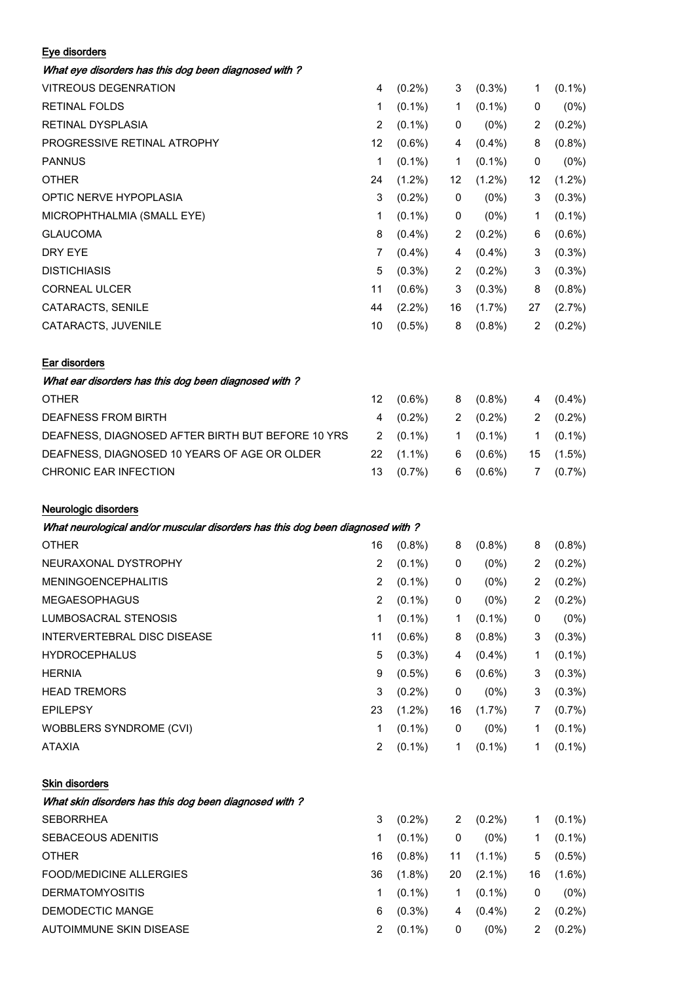#### Eye disorders

| What eye disorders has this dog been diagnosed with ? |                |           |                |           |    |           |
|-------------------------------------------------------|----------------|-----------|----------------|-----------|----|-----------|
| <b>VITREOUS DEGENRATION</b>                           | 4              | $(0.2\%)$ | 3              | $(0.3\%)$ | 1  | $(0.1\%)$ |
| <b>RETINAL FOLDS</b>                                  | 1              | $(0.1\%)$ | 1              | $(0.1\%)$ | 0  | (0%)      |
| <b>RETINAL DYSPLASIA</b>                              | $\overline{2}$ | $(0.1\%)$ | 0              | (0%)      | 2  | $(0.2\%)$ |
| PROGRESSIVE RETINAL ATROPHY                           | 12             | $(0.6\%)$ | 4              | $(0.4\%)$ | 8  | $(0.8\%)$ |
| <b>PANNUS</b>                                         | 1              | $(0.1\%)$ | 1              | $(0.1\%)$ | 0  | (0%)      |
| <b>OTHER</b>                                          | 24             | $(1.2\%)$ | 12             | $(1.2\%)$ | 12 | $(1.2\%)$ |
| OPTIC NERVE HYPOPLASIA                                | 3              | $(0.2\%)$ | 0              | (0%)      | 3  | $(0.3\%)$ |
| MICROPHTHALMIA (SMALL EYE)                            | 1              | $(0.1\%)$ | 0              | (0%)      | 1  | $(0.1\%)$ |
| <b>GLAUCOMA</b>                                       | 8              | $(0.4\%)$ | $\overline{2}$ | $(0.2\%)$ | 6  | $(0.6\%)$ |
| DRY EYE                                               | $\overline{7}$ | $(0.4\%)$ | 4              | $(0.4\%)$ | 3  | $(0.3\%)$ |
| <b>DISTICHIASIS</b>                                   | 5              | $(0.3\%)$ | 2              | $(0.2\%)$ | 3  | $(0.3\%)$ |
| <b>CORNEAL ULCER</b>                                  | 11             | $(0.6\%)$ | 3              | $(0.3\%)$ | 8  | $(0.8\%)$ |
| CATARACTS, SENILE                                     | 44             | $(2.2\%)$ | 16             | $(1.7\%)$ | 27 | (2.7%)    |
| CATARACTS, JUVENILE                                   | 10             | $(0.5\%)$ | 8              | $(0.8\%)$ | 2  | $(0.2\%)$ |
|                                                       |                |           |                |           |    |           |
| Ear disorders                                         |                |           |                |           |    |           |
| What ear disorders has this dog been diagnosed with ? |                |           |                |           |    |           |
| <b>OTHER</b>                                          | 12             | $(0.6\%)$ | 8              | $(0.8\%)$ | 4  | $(0.4\%)$ |
| <b>DEAFNESS FROM BIRTH</b>                            | 4              | $(0.2\%)$ | 2              | $(0.2\%)$ | 2  | $(0.2\%)$ |
| DEAFNESS, DIAGNOSED AFTER BIRTH BUT BEFORE 10 YRS     | $\overline{2}$ | $(0.1\%)$ | 1              | $(0.1\%)$ | 1  | $(0.1\%)$ |
| DEAFNESS, DIAGNOSED 10 YEARS OF AGE OR OLDER          | 22             | $(1.1\%)$ | 6              | $(0.6\%)$ | 15 | $(1.5\%)$ |
| CHRONIC EAR INFECTION                                 | 13             | $(0.7\%)$ | 6              | $(0.6\%)$ | 7  | $(0.7\%)$ |

| Neurologic disorders |  |
|----------------------|--|
|                      |  |

| <b>Neurologic discribers</b>                                                   |  |
|--------------------------------------------------------------------------------|--|
| What neurological and/or muscular disorders has this dog been diagnosed with ? |  |

| <b>OTHER</b>                | 16             | $(0.8\%)$ | 8  | $(0.8\%)$ | 8  | $(0.8\%)$ |
|-----------------------------|----------------|-----------|----|-----------|----|-----------|
| NEURAXONAL DYSTROPHY        | $\overline{2}$ | $(0.1\%)$ | 0  | (0%)      | 2  | $(0.2\%)$ |
| <b>MENINGOENCEPHALITIS</b>  | $\overline{2}$ | $(0.1\%)$ | 0  | (0%)      | 2  | $(0.2\%)$ |
| <b>MEGAESOPHAGUS</b>        | $\overline{2}$ | $(0.1\%)$ | 0  | (0%)      | 2  | $(0.2\%)$ |
| LUMBOSACRAL STENOSIS        | 1              | $(0.1\%)$ | 1  | $(0.1\%)$ | 0  | (0%)      |
| INTERVERTEBRAL DISC DISEASE | 11             | $(0.6\%)$ | 8  | $(0.8\%)$ | 3  | $(0.3\%)$ |
| <b>HYDROCEPHALUS</b>        | 5              | $(0.3\%)$ | 4  | $(0.4\%)$ | 1. | $(0.1\%)$ |
| <b>HERNIA</b>               | 9              | $(0.5\%)$ | 6  | $(0.6\%)$ | 3  | $(0.3\%)$ |
| <b>HEAD TREMORS</b>         | 3              | $(0.2\%)$ | 0  | (0%)      | 3  | $(0.3\%)$ |
| <b>EPILEPSY</b>             | 23             | $(1.2\%)$ | 16 | $(1.7\%)$ | 7  | $(0.7\%)$ |
| WOBBLERS SYNDROME (CVI)     | 1              | $(0.1\%)$ | 0  | (0%)      | 1  | $(0.1\%)$ |
| <b>ATAXIA</b>               | 2              | $(0.1\%)$ | 1. | $(0.1\%)$ | 1  | $(0.1\%)$ |

| <b>Skin disorders</b> |
|-----------------------|
|-----------------------|

| What skin disorders has this dog been diagnosed with ? |    |           |                       |           |    |           |
|--------------------------------------------------------|----|-----------|-----------------------|-----------|----|-----------|
| <b>SEBORRHEA</b>                                       | 3  | $(0.2\%)$ | $\mathbf{2}^{\prime}$ | $(0.2\%)$ |    | $(0.1\%)$ |
| SEBACEOUS ADENITIS                                     |    | $(0.1\%)$ | 0                     | (0%)      |    | $(0.1\%)$ |
| <b>OTHER</b>                                           | 16 | $(0.8\%)$ | 11                    | $(1.1\%)$ | 5  | $(0.5\%)$ |
| FOOD/MEDICINE ALLERGIES                                | 36 | $(1.8\%)$ | 20                    | $(2.1\%)$ | 16 | $(1.6\%)$ |
| <b>DERMATOMYOSITIS</b>                                 | 1  | $(0.1\%)$ | 1.                    | $(0.1\%)$ | 0  | (0%)      |
| DEMODECTIC MANGE                                       | 6  | $(0.3\%)$ | 4                     | $(0.4\%)$ | 2  | $(0.2\%)$ |
| AUTOIMMUNE SKIN DISEASE                                |    | $(0.1\%)$ | 0                     | (0%)      |    | $(0.2\%)$ |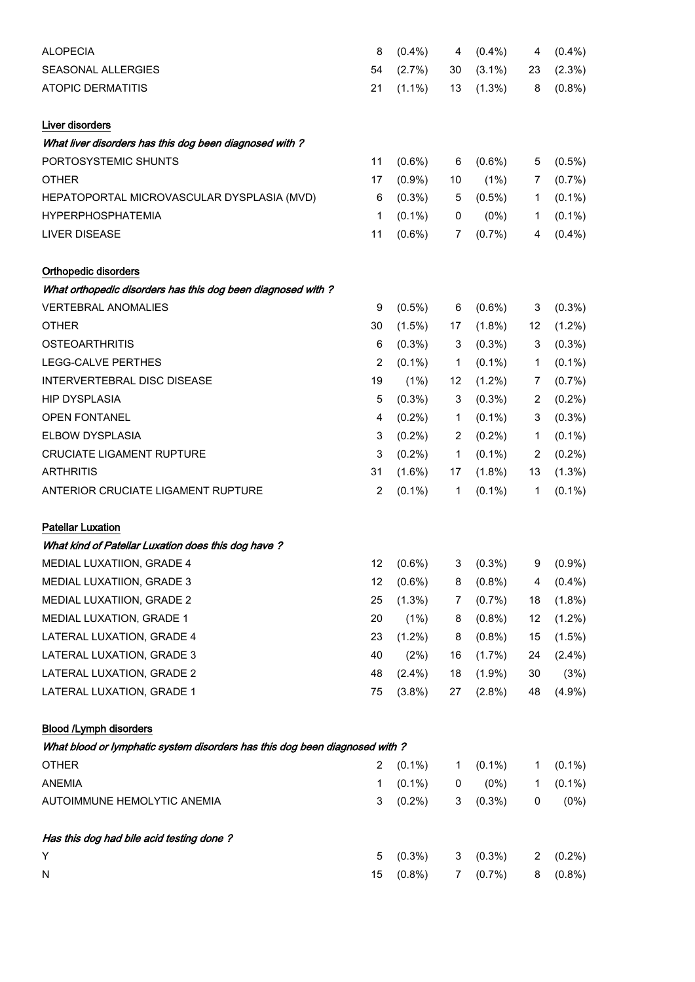| <b>ALOPECIA</b>                                                             | 8              | $(0.4\%)$ | 4  | $(0.4\%)$  | 4  | $(0.4\%)$  |
|-----------------------------------------------------------------------------|----------------|-----------|----|------------|----|------------|
| SEASONAL ALLERGIES                                                          | 54             | $(2.7\%)$ | 30 | $(3.1\%)$  | 23 | $(2.3\%)$  |
| <b>ATOPIC DERMATITIS</b>                                                    | 21             | $(1.1\%)$ | 13 | $(1.3\%)$  | 8  | $(0.8\%)$  |
| Liver disorders                                                             |                |           |    |            |    |            |
| What liver disorders has this dog been diagnosed with?                      |                |           |    |            |    |            |
| PORTOSYSTEMIC SHUNTS                                                        | 11             | $(0.6\%)$ | 6  | $(0.6\%)$  | 5  | $(0.5\%)$  |
| <b>OTHER</b>                                                                | 17             | $(0.9\%)$ | 10 | (1%)       | 7  | $(0.7\%)$  |
| HEPATOPORTAL MICROVASCULAR DYSPLASIA (MVD)                                  | 6              | $(0.3\%)$ | 5  | $(0.5\%)$  | 1  | $(0.1\%)$  |
| <b>HYPERPHOSPHATEMIA</b>                                                    | 1              | $(0.1\%)$ | 0  | (0%)       | 1  | $(0.1\%)$  |
| <b>LIVER DISEASE</b>                                                        | 11             | $(0.6\%)$ | 7  | $(0.7\%)$  | 4  | $(0.4\%)$  |
| <b>Orthopedic disorders</b>                                                 |                |           |    |            |    |            |
| What orthopedic disorders has this dog been diagnosed with ?                |                |           |    |            |    |            |
| <b>VERTEBRAL ANOMALIES</b>                                                  | 9              | $(0.5\%)$ | 6  | $(0.6\%)$  | 3  | $(0.3\%)$  |
| <b>OTHER</b>                                                                | 30             | $(1.5\%)$ | 17 | $(1.8\%)$  | 12 | $(1.2\%)$  |
| <b>OSTEOARTHRITIS</b>                                                       | 6              | $(0.3\%)$ | 3  | $(0.3\%)$  | 3  | $(0.3\%)$  |
| LEGG-CALVE PERTHES                                                          | $\overline{2}$ | $(0.1\%)$ | 1  | $(0.1\%)$  | 1  | $(0.1\%)$  |
| INTERVERTEBRAL DISC DISEASE                                                 | 19             | (1%)      | 12 | $(1.2\%)$  | 7  | $(0.7\%)$  |
| <b>HIP DYSPLASIA</b>                                                        | 5              | $(0.3\%)$ | 3  | $(0.3\%)$  | 2  | $(0.2\%)$  |
| <b>OPEN FONTANEL</b>                                                        | 4              | $(0.2\%)$ | 1  | $(0.1\%)$  | 3  | $(0.3\%)$  |
| <b>ELBOW DYSPLASIA</b>                                                      | 3              | $(0.2\%)$ | 2  | $(0.2\%)$  | 1  | $(0.1\%)$  |
| <b>CRUCIATE LIGAMENT RUPTURE</b>                                            | 3              | $(0.2\%)$ | 1  | $(0.1\%)$  | 2  | $(0.2\%)$  |
| <b>ARTHRITIS</b>                                                            | 31             | $(1.6\%)$ | 17 | $(1.8\%)$  | 13 | $(1.3\%)$  |
| ANTERIOR CRUCIATE LIGAMENT RUPTURE                                          | $\overline{c}$ | $(0.1\%)$ | 1  | $(0.1\%)$  | 1  | $(0.1\%)$  |
| <b>Patellar Luxation</b>                                                    |                |           |    |            |    |            |
| What kind of Patellar Luxation does this dog have ?                         |                |           |    |            |    |            |
| MEDIAL LUXATIION, GRADE 4                                                   |                | 12 (0.6%) |    | $3(0.3\%)$ |    | $9(0.9\%)$ |
| MEDIAL LUXATIION, GRADE 3                                                   | 12             | $(0.6\%)$ | 8  | $(0.8\%)$  | 4  | $(0.4\%)$  |
| MEDIAL LUXATIION, GRADE 2                                                   | 25             | $(1.3\%)$ | 7  | $(0.7\%)$  | 18 | $(1.8\%)$  |
| MEDIAL LUXATION, GRADE 1                                                    | 20             | (1%)      | 8  | $(0.8\%)$  | 12 | $(1.2\%)$  |
| LATERAL LUXATION, GRADE 4                                                   | 23             | $(1.2\%)$ | 8  | $(0.8\%)$  | 15 | $(1.5\%)$  |
| LATERAL LUXATION, GRADE 3                                                   | 40             | (2%)      | 16 | $(1.7\%)$  | 24 | $(2.4\%)$  |
| LATERAL LUXATION, GRADE 2                                                   | 48             | $(2.4\%)$ | 18 | $(1.9\%)$  | 30 | (3%)       |
| LATERAL LUXATION, GRADE 1                                                   | 75             | $(3.8\%)$ | 27 | $(2.8\%)$  | 48 | $(4.9\%)$  |
| <b>Blood /Lymph disorders</b>                                               |                |           |    |            |    |            |
| What blood or lymphatic system disorders has this dog been diagnosed with ? |                |           |    |            |    |            |
| <b>OTHER</b>                                                                | $\overline{2}$ | $(0.1\%)$ | 1  | $(0.1\%)$  | 1  | $(0.1\%)$  |
| <b>ANEMIA</b>                                                               | 1              | $(0.1\%)$ | 0  | (0%)       | 1  | $(0.1\%)$  |
| AUTOIMMUNE HEMOLYTIC ANEMIA                                                 | 3              | $(0.2\%)$ | 3  | $(0.3\%)$  | 0  | (0%)       |
| Has this dog had bile acid testing done ?                                   |                |           |    |            |    |            |
| Y                                                                           | 5              | $(0.3\%)$ | 3  | $(0.3\%)$  | 2  | $(0.2\%)$  |
| N                                                                           | 15             | $(0.8\%)$ | 7  | $(0.7\%)$  | 8  | (0.8% )    |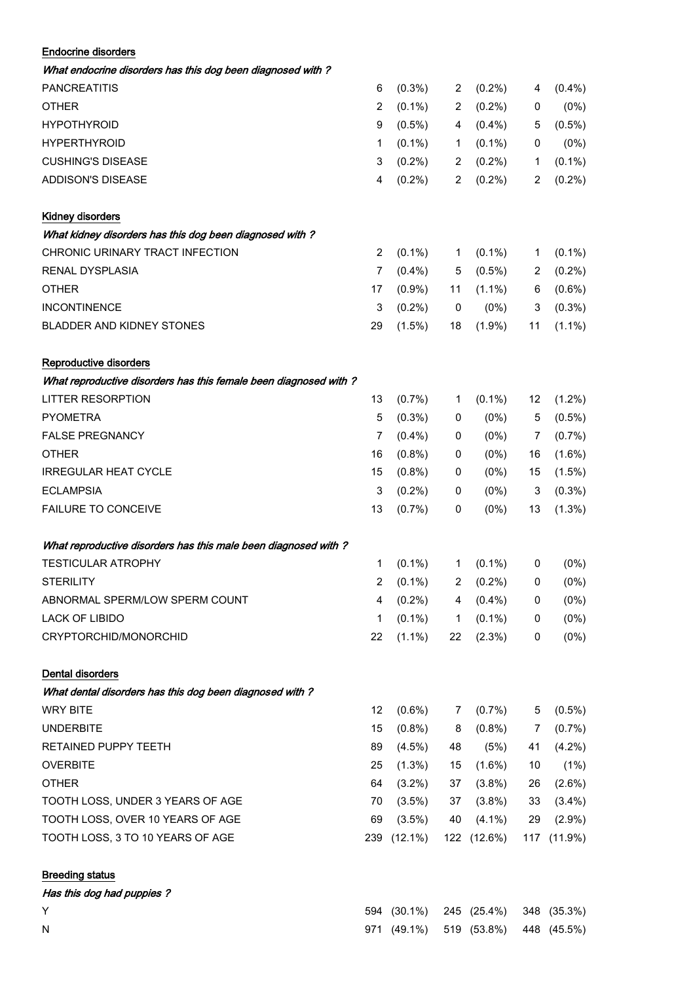| <b>Endocrine disorders</b>                                        |              |            |                |             |     |           |
|-------------------------------------------------------------------|--------------|------------|----------------|-------------|-----|-----------|
| What endocrine disorders has this dog been diagnosed with ?       |              |            |                |             |     |           |
| <b>PANCREATITIS</b>                                               | 6            | $(0.3\%)$  | 2              | $(0.2\%)$   | 4   | (0.4%     |
| <b>OTHER</b>                                                      | 2            | $(0.1\%)$  | $\overline{2}$ | $(0.2\%)$   | 0   | (0%       |
| <b>HYPOTHYROID</b>                                                | 9            | $(0.5\%)$  | 4              | $(0.4\%)$   | 5   | $(0.5\%)$ |
| <b>HYPERTHYROID</b>                                               | 1            | $(0.1\%)$  | 1              | $(0.1\%)$   | 0   | (0%       |
| <b>CUSHING'S DISEASE</b>                                          | 3            | $(0.2\%)$  | 2              | $(0.2\%)$   | 1   | $(0.1\%)$ |
| ADDISON'S DISEASE                                                 | 4            | $(0.2\%)$  | 2              | $(0.2\%)$   | 2   | (0.2%     |
| Kidney disorders                                                  |              |            |                |             |     |           |
| What kidney disorders has this dog been diagnosed with?           |              |            |                |             |     |           |
| CHRONIC URINARY TRACT INFECTION                                   | 2            | $(0.1\%)$  | $\mathbf{1}$   | $(0.1\%)$   | 1   | $(0.1\%)$ |
| RENAL DYSPLASIA                                                   | 7            | $(0.4\%)$  | 5              | $(0.5\%)$   | 2   | (0.2%     |
| <b>OTHER</b>                                                      | 17           | $(0.9\%)$  | 11             | $(1.1\%)$   | 6   | $(0.6\%)$ |
| <b>INCONTINENCE</b>                                               | 3            | $(0.2\%)$  | 0              | (0%)        | 3   | (0.3%     |
| BLADDER AND KIDNEY STONES                                         | 29           | $(1.5\%)$  | 18             | $(1.9\%)$   | 11  | $(1.1\%)$ |
| Reproductive disorders                                            |              |            |                |             |     |           |
| What reproductive disorders has this female been diagnosed with ? |              |            |                |             |     |           |
| <b>LITTER RESORPTION</b>                                          | 13           | $(0.7\%)$  | 1              | $(0.1\%)$   | 12  | $(1.2\%)$ |
| <b>PYOMETRA</b>                                                   | 5            | $(0.3\%)$  | 0              | (0%)        | 5   | $(0.5\%)$ |
| <b>FALSE PREGNANCY</b>                                            | 7            | $(0.4\%)$  | 0              | (0%)        | 7   | (0.7%     |
| <b>OTHER</b>                                                      | 16           | $(0.8\%)$  | 0              | (0%)        | 16  | $(1.6\%)$ |
| <b>IRREGULAR HEAT CYCLE</b>                                       | 15           | $(0.8\%)$  | 0              | (0%)        | 15  | $(1.5\%)$ |
| <b>ECLAMPSIA</b>                                                  | 3            | $(0.2\%)$  | 0              | (0%)        | 3   | (0.3%     |
| <b>FAILURE TO CONCEIVE</b>                                        | 13           | $(0.7\%)$  | 0              | (0%)        | 13  | $(1.3\%)$ |
| What reproductive disorders has this male been diagnosed with ?   |              |            |                |             |     |           |
| <b>TESTICULAR ATROPHY</b>                                         | $\mathbf{1}$ | $(0.1\%)$  |                | $1$ (0.1%)  | 0   | $(0\%)$   |
| <b>STERILITY</b>                                                  | 2            | $(0.1\%)$  | $\overline{2}$ | $(0.2\%)$   | 0   | (0%       |
| ABNORMAL SPERM/LOW SPERM COUNT                                    | 4            | $(0.2\%)$  | 4              | $(0.4\%)$   | 0   | (0%       |
| <b>LACK OF LIBIDO</b>                                             | 1            | $(0.1\%)$  | $\mathbf{1}$   | $(0.1\%)$   | 0   | (0%       |
| CRYPTORCHID/MONORCHID                                             | 22           | $(1.1\%)$  | 22             | $(2.3\%)$   | 0   | (0%       |
| <b>Dental disorders</b>                                           |              |            |                |             |     |           |
| What dental disorders has this dog been diagnosed with ?          |              |            |                |             |     |           |
| <b>WRY BITE</b>                                                   | 12           | $(0.6\%)$  | 7              | $(0.7\%)$   | 5   | $(0.5\%)$ |
| <b>UNDERBITE</b>                                                  | 15           | $(0.8\%)$  | 8              | $(0.8\%)$   | 7   | (0.7%     |
| RETAINED PUPPY TEETH                                              | 89           | $(4.5\%)$  | 48             | (5%)        | 41  | $(4.2\%)$ |
| <b>OVERBITE</b>                                                   | 25           | $(1.3\%)$  | 15             | $(1.6\%)$   | 10  | (1% )     |
| <b>OTHER</b>                                                      | 64           | $(3.2\%)$  | 37             | $(3.8\%)$   | 26  | $(2.6\%)$ |
| TOOTH LOSS, UNDER 3 YEARS OF AGE                                  | 70           | $(3.5\%)$  | 37             | $(3.8\%)$   | 33  | $(3.4\%)$ |
| TOOTH LOSS, OVER 10 YEARS OF AGE                                  | 69           | $(3.5\%)$  | 40             | $(4.1\%)$   | 29  | (2.9%     |
| TOOTH LOSS, 3 TO 10 YEARS OF AGE                                  | 239          | $(12.1\%)$ |                | 122 (12.6%) | 117 | (11.9%)   |

Breeding status

Has this dog had puppies ? Y 594 (30.1%) 245 (25.4%) 348 (35.3%) N 971 (49.1%) 519 (53.8%) 448 (45.5%)